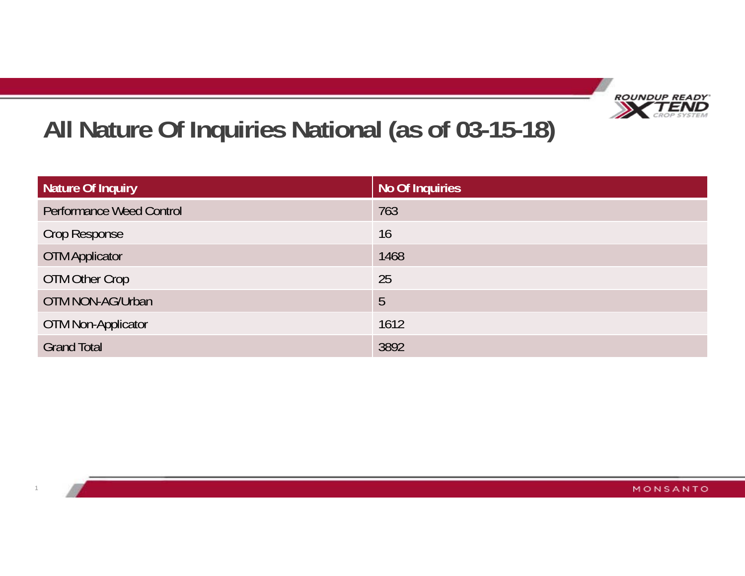

# **All Nature Of Inquiries National (as of 03-15-18)**

| Nature Of Inquiry               | No Of Inquiries |
|---------------------------------|-----------------|
| <b>Performance Weed Control</b> | 763             |
| Crop Response                   | 16              |
| <b>OTM Applicator</b>           | 1468            |
| OTM Other Crop                  | 25              |
| OTM NON-AG/Urban                | 5               |
| <b>OTM Non-Applicator</b>       | 1612            |
| <b>Grand Total</b>              | 3892            |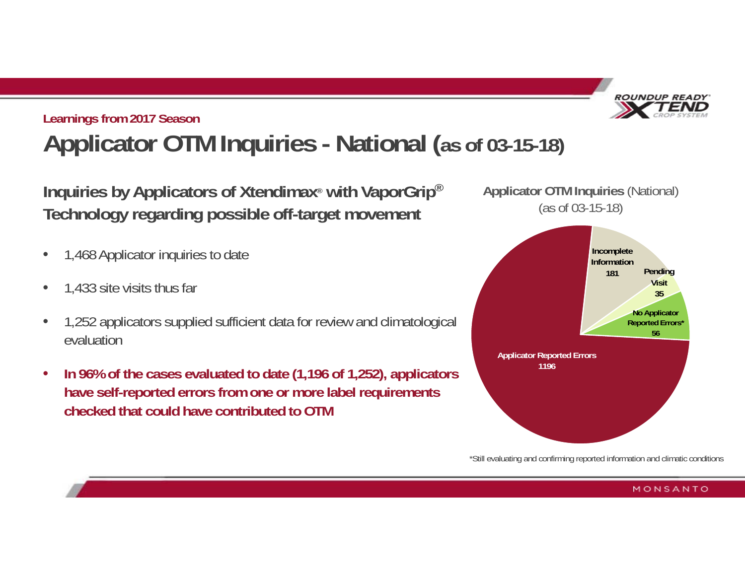

## **Learnings from 2017 Season Applicator OTM Inquiries - National (as of 03-15-18)**

**Inquiries by Applicators of Xtendimax® with VaporGrip® Technology regarding possible off-target movement**

- $\bullet$ 1,468 Applicator inquiries to date
- $\bullet$ 1,433 site visits thus far
- $\bullet$  1,252 applicators supplied sufficient data for review and climatological evaluation
- • **In 96% of the cases evaluated to date (1,196 of 1,252), applicators have self-reported errors from one or more label requirements checked that could have contributed to OTM**



\*Still evaluating and confirming reported information and climatic conditions

#### MONSANTO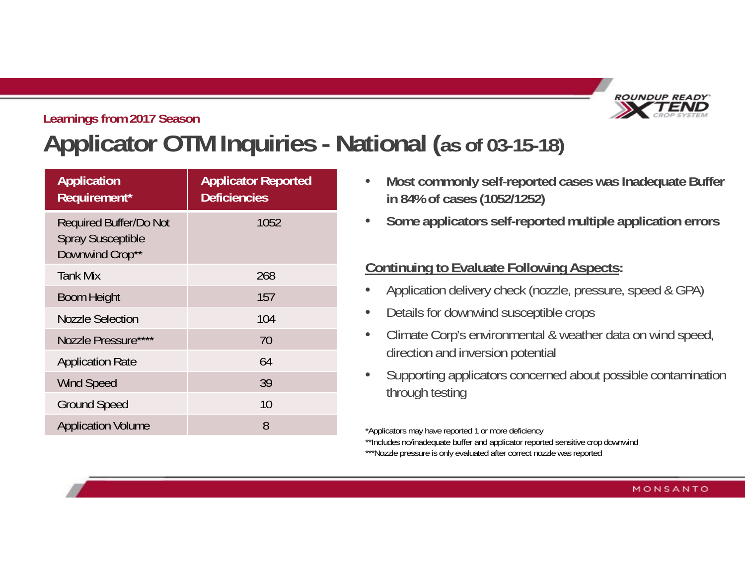

## **Learnings from 2017 Season Applicator OTM Inquiries - National (as of 03-15-18)**

| <b>Application</b><br>Requirement*                                           | <b>Applicator Reported</b><br><b>Deficiencies</b> |
|------------------------------------------------------------------------------|---------------------------------------------------|
| <b>Required Buffer/Do Not</b><br><b>Spray Susceptible</b><br>Downwind Crop** | 1052                                              |
| <b>Tank Mix</b>                                                              | 268                                               |
| <b>Boom Height</b>                                                           | 157                                               |
| <b>Nozzle Selection</b>                                                      | 104                                               |
| Nozzle Pressure****                                                          | 70                                                |
| <b>Application Rate</b>                                                      | 64                                                |
| <b>Wind Speed</b>                                                            | 39                                                |
| <b>Ground Speed</b>                                                          | 10                                                |
| <b>Application Volume</b>                                                    | 8                                                 |

- • **Most commonly self-reported cases was Inadequate Buffer in 84% of cases (1052/1252)**
- •**Some applicators self-reported multiple application errors**

### **Continuing to Evaluate Following Aspects:**

- •Application delivery check (nozzle, pressure, speed & GPA)
- •Details for downwind susceptible crops
- • Climate Corp's environmental & weather data on wind speed, direction and inversion potential
- • Supporting applicators concerned about possible contamination through testing

\*Applicators may have reported 1 or more deficiency

\*\*Includes no/inadequate buffer and applicator reported sensitive crop downwind

\*\*\*Nozzle pressure is only evaluated after correct nozzle was reported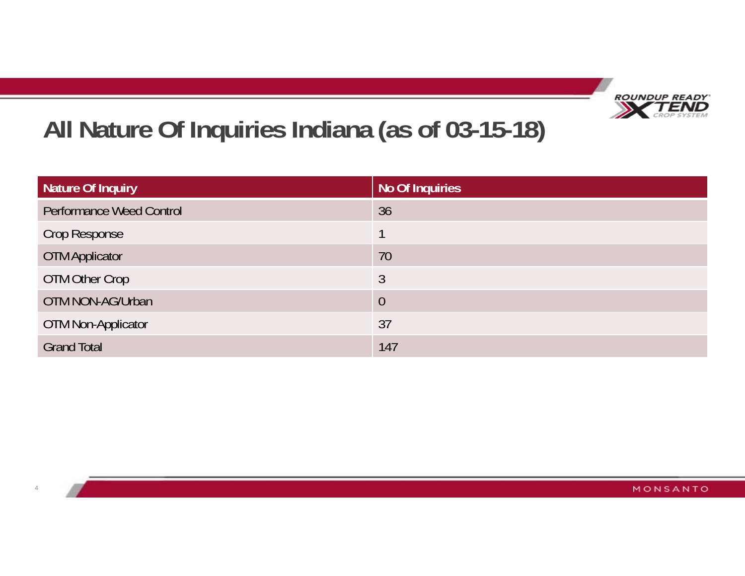

# **All Nature Of Inquiries Indiana (as of 03-15-18)**

4

| Nature Of Inquiry               | No Of Inquiries |
|---------------------------------|-----------------|
| <b>Performance Weed Control</b> | 36              |
| Crop Response                   |                 |
| <b>OTM Applicator</b>           | 70              |
| OTM Other Crop                  | 3               |
| OTM NON-AG/Urban                | $\overline{0}$  |
| <b>OTM Non-Applicator</b>       | 37              |
| <b>Grand Total</b>              | 147             |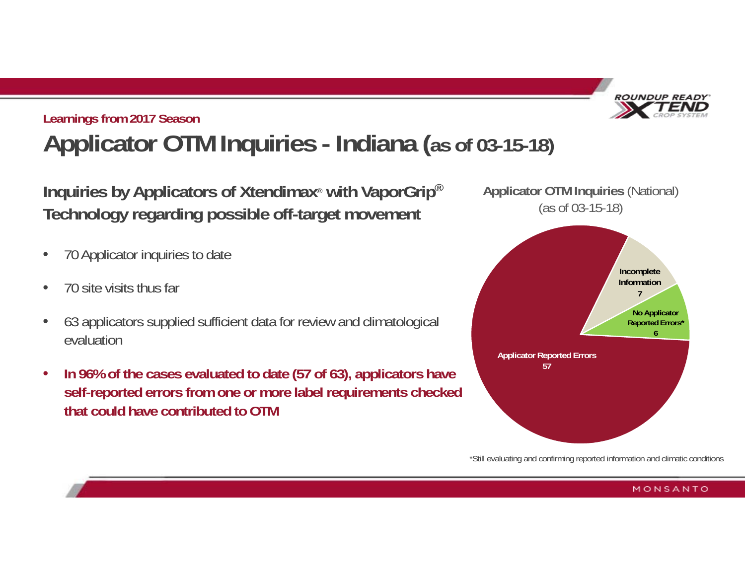

## **Learnings from 2017 Season Applicator OTM Inquiries - Indiana (as of 03-15-18)**

**Inquiries by Applicators of Xtendimax® with VaporGrip® Technology regarding possible off-target movement**

- •70 Applicator inquiries to date
- •70 site visits thus far
- • 63 applicators supplied sufficient data for review and climatological evaluation
- • **In 96% of the cases evaluated to date (57 of 63), applicators have self-reported errors from one or more label requirements checked that could have contributed to OTM**



\*Still evaluating and confirming reported information and climatic conditions

#### MONSANTO